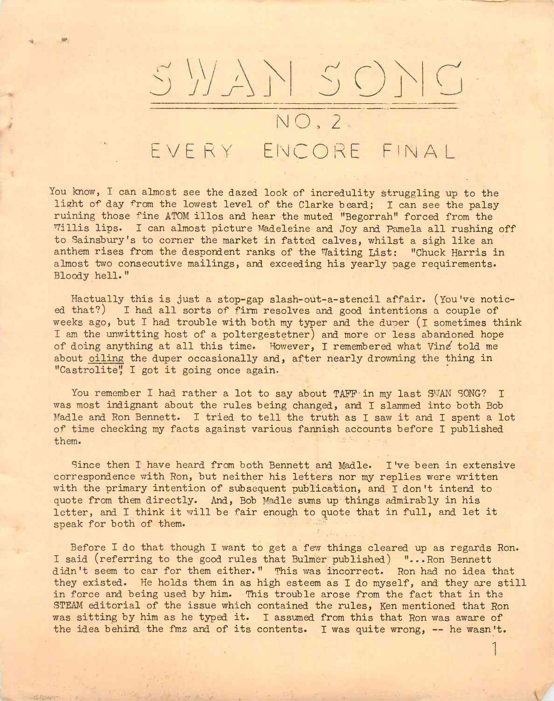

EVERY ENCORE FINAL

You know, I can almost see the dazed look of incredulity struggling up to the light of day from the lowest level of the Clarke beard; I can see the palsy ruining those fine ATOM illos and hear the muted "Begorrah" forced from the Willis lips. I can almost picture Madeleine and Joy and Pamela all rushing off to Sainsbury's to corner the market in fatted calves, whilst a sigh like an anthem rises from the despondent ranks of the Waiting List: "Chuck Harris in almost two consecutive mailings, and exceeding his yearly page requirements. Bloody hell. "

Hactually this is just a stop-gap slash-out-a-stencil affair. (You've noticed that?) I had all sorts of firm resolves and good intentions a couple of weeks ago, but I had trouble with both my typer and the duper (I sometimes think I am the unwitting host of a poltergestetner) and more or less abandoned hope of doing anything at all this time. However, I remembered what Ving told me about oiling the duper occasionally and, after nearly drowning the thing in "Castrolite" I got it going once again.

You remember I had rather a lot to say about TAFF in my last SWAN SONG? I was most indignant about the rules being changed, and I slammed into both Bob Madle and Ron Bennett. I tried to tell the truth as I saw it and I spent a lot of time checking my facts against various fannish accounts before I published them.

Since then I have heard from both Bennett and Madle. I've been in extensive correspondence with Ron, but neither his letters nor my replies were written with the primary intention of subsequent publication, and I don't intend to quote from them directly. And, Bob Madle sums up things admirably in his letter, and I think it will be fair enough to quote that in full, and let it speak for both of them.

Before I do that though I want to get a few things cleared up as regards Ron. I said (referring to the good rules that Bulmer published) "...Ron Bennett didn't seem to car for them either." This was incorrect. Ron had no idea that they existed. He holds them in as high esteem as I do myself, and they are still in force and being used by him. This trouble arose from the fact that in the STEAM editorial of the issue which contained the rules, Ken mentioned that Ron was sitting by him as he typed it. I assumed from this that Ron was aware of the idea behind the fmz and of its contents. I was quite wrong, -- he wasn't.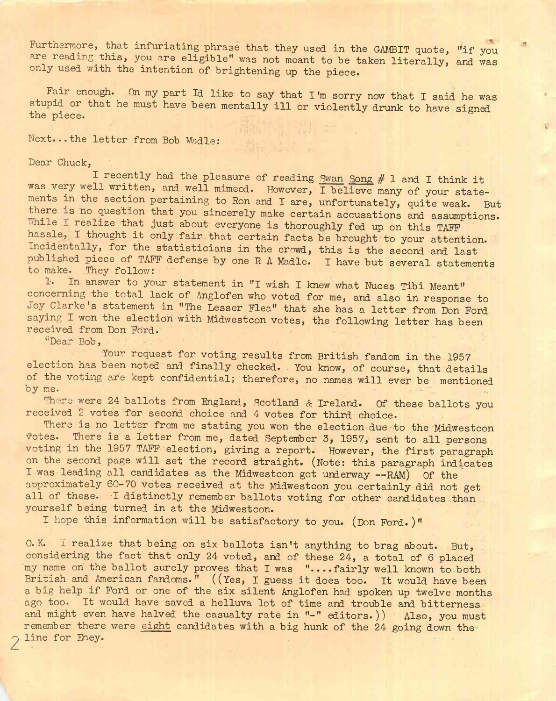Furthermore, that infuriating phrase that they used in the GAMBIT quote, "if you are reading this, you are eligible" was not meant to be taken literally, and was only used with the intention of brightening up the piece.

Fair enough. On my part Id like to say that I'm sorry now that I said he was stupid or that he must have been mentally ill or violently drunk to have signed the piece.

Next...the letter from Bob MadIe;

Dear Chuck,

I recently had the pleasure of reading Swan Song # 1 and I think it was very well written, and well mimeod. However, I believe many of your statements in the section pertaining to Ron and I are, unfortunately, quite weak. But there is no question that you sincerely make certain accusations and assumptions, While I realize that just about everyone is thoroughly fed up on this TAFF hassle, I thought it only fair that certain facts be brought to your attention. Incidentally, for the statisticians in the crowd, this is the second and last published piece of TAFF defense by one R A Madle. I have but several statements to make. They follow:

1. In answer to your statement in "I wish I knew what Nuces Tibi Meant" concerning the total lack of Anglofen who voted for me, and also in response to Joy Clarke's statement in "The Lesser Flea" that she has a letter from Don Ford saying I won the election with Midwestcon votes, the following letter has been received from Don Ford.

"Dear Bob,

Your request for voting results from British fandom in the 1957 election has been noted and finally checked. You know, of course, that details of the voting are kept confidential; therefore, no names will ever be mentioned by me.

There were 24 ballots from England, Scotland & Ireland. Of these ballots you received 2 votes for second'choice and 4 votes for third choice.

There is no letter from me stating you won the election due to the Midwestcon Votes. There is a letter from me, dated September 3, 1957, sent to all persons voting in the 1957 TAFF election, giving a report. However, the first paragraph on the second page will set the record straight. (Note: this paragraph indicates <sup>I</sup> was leading all candidates as the Midwestcon got underway —RAM) Of the approximately 60-70 votes received at the Midwestcon you certainly did not get all of these. I distinctly remember ballots voting for other candidates than yourself being turned in at the Midwestcon.

I hope this information will be satisfactory to you. (Don Ford.)"

O.K. I realize that being on six ballots isn't anything to brag about. But, considering the fact that only 24 voted, and of these 24, a total of 6 placed my name on the ballot surely proves that I was "....fairly well known to both British and American fandoms." ((Yes, I guess it does too. It would have been a big help if Ford or one of the six silent Anglofen had spoken up twelve months ago too. It would have saved a helluva lot of time and trouble and bitterness and might even have halved the casualty rate in "-" editors.)) Also, you must remember there were eight candidates with a big hunk of the 24 going down the line for Eney.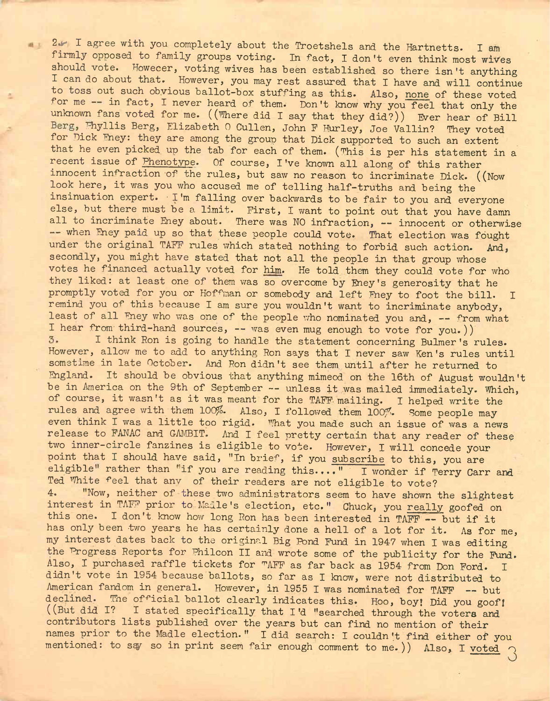**2** $\sim$  I agree with you completely about the Troetshels and the Hartnetts. I am firmly opposed to family groups voting. In fact, I don't even think most wives should vote. Howecer, voting wives has been established so there isn't anything I can do about that. However, you may rest assured that I have and will continue to toss out such obvious ballot-box stuffing as this. Also, none of these voted for me -- in fact, I never heard of them. Don't know why you feel that only the unknown fans voted for me. ((Where did I say that they did?)) Ever hear of Bill Berg, Fhyllis Berg, Elizabeth 0 Cullen, John F Hurley, Joe Vallin? They voted for Dick Fney: they are among the group that Dick supported to such an extent that he even picked up the tab for each of them. (This is per his statement in a recent issue of Phenotype. Of course, I've known all along of this rather innocent infraction of the rules, but saw no reason to incriminate Dick. ((Now look here, it was you who accused me of telling half-truths and being the insinuation expert. • I'm falling over backwards to be fair to you and everyone else, but there must be a limit. First, I want to point out that you have damn all to incriminate Eney about. There was NO infraction, -- innocent or otherwise -- when Eney paid up so that these people could vote. That election was fought under the original TAFF rules which stated nothing to forbid such action. And, secondly, you might have stated that not all the people in that group whose votes he financed actually voted for him. He told them they could vote for who they liked: at least one of them was so overcome by Eney's generosity that he promptly voted for you or Hoffman or somebody and left Fney to foot the bill. I remind you of this because I am sure you wouldn't want to incriminate anybody, least of all Fney who was one of the people who nominated you and, -- from what I hear from third-hand sources, -- was even mug enough to vote for you.)) I think Ron is going to handle the statement concerning Bulmer's rules.  $3.$ However, allow me to add to anything Ron says that I never saw Ken's rules until sometime in late October. And Ron didn't see them until after he returned to England. It should be obvious that anything mimeod on the 16th of August wouldn't be in America on the 9th of September -- unless it was mailed immediately. Which, of course, it wasn't as it was meant for the TAFF mailing. I helped write the rules and agree with them 100%. Also, I followed them 100%. Some people may even think I was a little too rigid. What you made such an issue of was a news release to FANAC and GAMBIT. And I feel pretty certain that any reader of these two inner-circle fanzines is eligible to vote. However, I will concede your point that I should have said, "In brief, if you subscribe to this, you are eligible" rather than "if you are reading this...." I wonder if Terry Carr and Ted White feel that any of their readers are not eligible to vote? 4. "Now, neither of these two administrators seem to have shown the slightest interest in TAFF prior to'Madle's election, etc." Chuck, you really goofed on this one. <sup>I</sup> don't, know how long Ron has been interested in TAFF — but if it has only been two years he has certainly done a hell of a lot for it. As for me, my interest dates back to the original Big Pond Fund in 1947 when I was editing the Progress Reports for Philcon II and wrote some of the publicity for the Fund. Also, I purchased raffle tickets for "AFF as far back as 1954 from Don Ford. I didn't vote in 1954 because ballots, so far as I know, were not distributed to American fandom in general. However, in 1955 I was nominated for TAFF -- but declined. The official ballot clearly indicates this. Hoo, boy! Did you goof! ((But did I? I stated.specifically that I'd "searched through the voters and contributors lists published over the years but can find no mention of their names prior to the Madle election." I did search: I couldn't find either of you mentioned: to say so in print seem fair enough comment to me.)) Also, I voted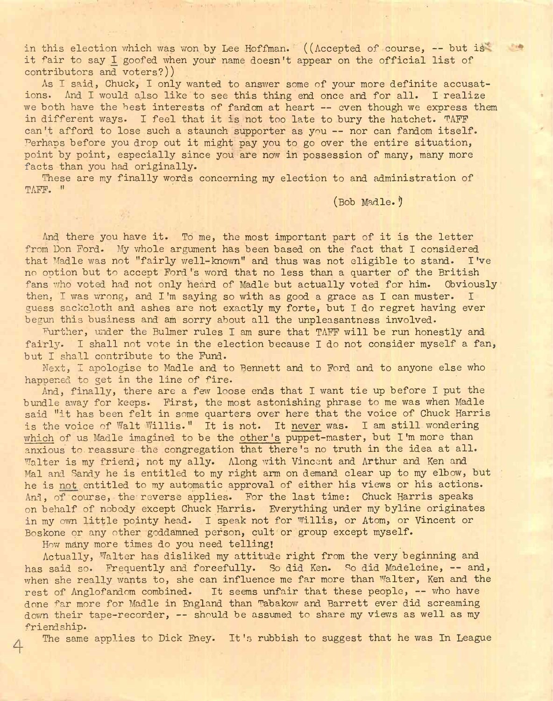in this election which was won by Lee Hoffman. ((Accepted of course, -- but is" it fair to say I goofed when your name doesn't appear on the official list of contributors and voters?))

As I said, Chuck, I only wanted to answer some of your more definite accusations. And I would also like to see this thing end once and for all. I realize we both have the best interests of fandom at heart -- even though we express them in different ways. I feel that it is not too late to bury the hatchet. TAFF can't afford to lose such a staunch supporter as you -- nor can fandom itself. Perhaps before you drop out it might pay you to go over the entire situation, point by point, especially since you are now in possession of many, many more facts than you had originally.

These are my finally words concerning my election to and administration of TAFF. "

(Bob Madle. ')

And there you have it. To me, the most important part of it is the letter from Don Ford. My whole argument has been based on the fact that I considered that Madle was not "fairly well-known" and thus was not eligible to stand. I've no option but to accept Ford's word that no less than a quarter of the British fans who voted had not only heard of Madle but actually voted for him. Obviously then, I was wrong, and I'm saying so with as good a grace as I can muster. I guess sackcloth and ashes are not exactly my forte, but I do regret having ever begun this business and am sorry about all the unpleasantness involved-

Further, under the Bulmer rules I am sure that TAFF will be run honestly and fairly. I shall not vote in the election because I do not consider myself a fan, but I shall contribute to the Fund.

Next, I apologise to Madle and to Bennett and to Ford and to anyone else who happened to get in the line of fire.

And, finally, there are a few loose ends that I want tie up before I put the bundle away for keeps. First, the most astonishing phrase to me was when Madle said "it has been felt in some quarters over here that the voice of Chuck Harris is the voice of Walt Willis." It is not. It never was. I am still wondering which of us Madle imagined to be the other's puppet-master, but I'm more than anxious to reassure the congregation that there's no truth in the idea at all. Walter is my friend, not my ally. Along with Vincent and Arthur and Ken and Mal and Sandy he is entitled to my right arm on demand clear up to my elbow, but he is not entitled to my automatic approval of either his views or his actions. And, of course, the reverse applies. For the last time: Chuck Harris speaks on behalf of nobody except Chuck Harris. Everything under my byline originates in my own little pointy head. I speak not for Willis, or Atom, or Vincent or Boskone or any other goddamned person, cult or group except myself.

How many more times do you need telling!

 $\overline{4}$ 

Actually, Walter has disliked my attitude right from the very beginning and has said so. Frequently and forcefully. So did Ken. So did Madeleine, -- and, when she really wants to, she can influence me far more than Walter, Ken and the rest of Anglofandom combined. It seems unfair that these people, — who have done far more for Madle in England than Tabakow and Barrett ever did screaming down their tape-recorder, — should be assumed to share my views as well as my friendship.

The same applies to Dick Eney. It's rubbish to suggest that he was In League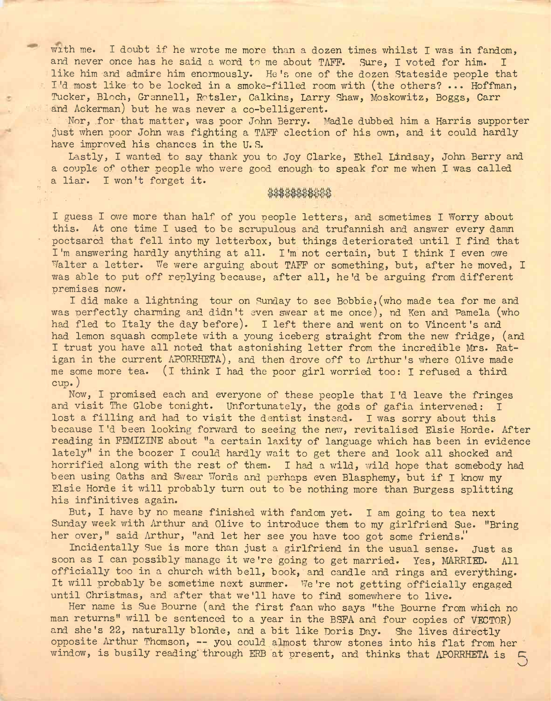with me. I doubt if he wrote me more than a dozen times whilst I was in fandom, and never once has he said a word to me about TAFF. Sure, I voted for him. I like him and admire him enormously. He's one of the dozen Stateside people that I'd most like to be locked in a smoke-filled room with (the others? .. • Hoffman, Tucker, Bloch, Grennell, Rotsler, Calkins, Larry Shaw, Moskowitz, Boggs, Carr and Ackerman) but he was never a co-belligerent.

Nor, for that matter, was poor John Berry. Madle dubbed him a Harris supporter just when poor John was fighting a TAFF election of his own, and it could hardly have improved his chances in the U. S.

Lastly, I wanted to say thank you to Joy Clarke, Ethel Lindsay, John Berry and a couple of other people who were good enough to speak for me when I was called a liar. I won't forget it.

## \$\$\$\$\$\$\$\$\$\$\$\$

I guess I owe more than half of you people letters, and sometimes I Worry about this. At one time I used to be scrupulous and trufannish and answer every damn poctsarcd that fell into my letterbox, but things deteriorated until I find that I'm answering hardly anything at all. I'm not certain, but I think I even owe Walter a letter. We were arguing about TAFF or something, but, after he moved, I was able to put off replying because, after all, he'd be arguing from different premises now.

I did make a lightning tour on Sunday to see Bobbie, (who made tea for me and was perfectly charming and didn't even swear at me once), nd Ken and Pamela (who had fled to Italy the day before). I left there and went on to Vincent 's and had lemon squash complete with a young iceberg straight from the new fridge, (and I trust you have all noted that astonishing letter from the incredible Mrs. Ratigan in the current APORRHETA), and then drove off to Arthur's where Olive made me some more tea. (l think I had the poor girl worried too: I refused a third cup.)

Now, I promised each and everyone of these people that I'd leave the fringes and visit The Globe tonight. Unfortunately, the gods of gafia intervened: I lost a filling and had to visit the dentist instead. I was sorry about this because I'd been looking forward to seeing the new, revitalised Elsie Horde. After reading in FEMIZINE about "a certain laxity of language which has been in evidence lately" in the boozer I could hardly wait to get there and look all shocked and horrified along with the rest of them. I had a wild, wild hope that somebody had been using Oaths and Swear Words and perhaps even Blasphemy, but if I know my Elsie Horde it will probably turn out to be nothing more than Burgess splitting his infinitives again.

But, I have by no means finished with fandom yet. I am going to tea next Sunday week with Arthur and Olive to introduce them to my girlfriend Sue. "Bring her over," said Arthur, "and let her see you have too got some friends.

Incidentally Sue is more than just a girlfriend in the usual sense. Just as soon as I can possibly manage it we're going to get married. Yes, MARRIED. All officially too in a church with bell, book, and candle and rings and everything. It will probably be sometime next summer. We're not getting officially engaged until Christmas, and after that we'll have to find somewhere to live.

Her name is Sue Bourne (and the first faan who says "the Bourne from which no man returns" will be sentenced to a year in the BSFA and four copies of VECTOR) and she's 22, naturally blonde, and a bit like Doris Day. She lives directly opposite Arthur Thomson, — you could almost throw stones into his flat from her window, is busily reading through ERB at present, and thinks that APORRHETA is